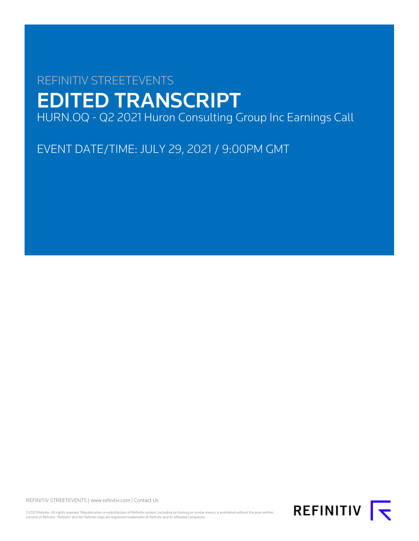# REFINITIV STREETEVENTS EDITED TRANSCRIPT HURN.OQ - Q2 2021 Huron Consulting Group Inc Earnings Call

EVENT DATE/TIME: JULY 29, 2021 / 9:00PM GMT

REFINITIV STREETEVENTS | [www.refinitiv.com](https://www.refinitiv.com/) | [Contact Us](https://www.refinitiv.com/en/contact-us)

©2021 Refinitiv. All rights reserved. Republication or redistribution of Refinitiv content, including by framing or similar means, is prohibited without the prior written consent of Refinitiv. 'Refinitiv' and the Refinitiv logo are registered trademarks of Refinitiv and its affiliated companies.

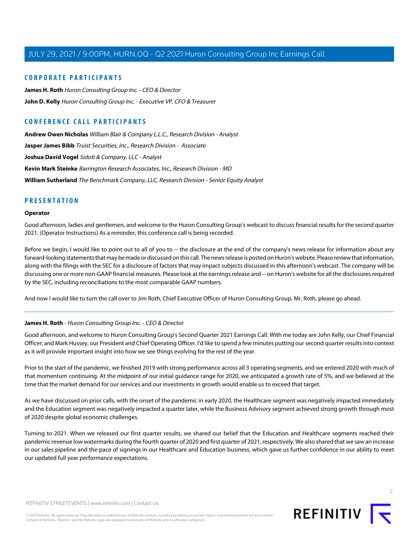#### **CORPORATE PARTICIPANTS**

**[James H. Roth](#page-1-0)** Huron Consulting Group Inc. - CEO & Director **[John D. Kelly](#page-3-0)** Huron Consulting Group Inc. - Executive VP, CFO & Treasurer

### **CONFERENCE CALL PARTICIPANTS**

**[Andrew Owen Nicholas](#page-6-0)** William Blair & Company L.L.C., Research Division - Analyst **[Jasper James Bibb](#page-5-0)** Truist Securities, Inc., Research Division - Associate **[Joshua David Vogel](#page-11-0)** Sidoti & Company, LLC - Analyst **[Kevin Mark Steinke](#page-9-0)** Barrington Research Associates, Inc., Research Division - MD **[William Sutherland](#page-7-0)** The Benchmark Company, LLC, Research Division - Senior Equity Analyst

### **PRESENTATION**

#### **Operator**

Good afternoon, ladies and gentlemen, and welcome to the Huron Consulting Group's webcast to discuss financial results for the second quarter 2021. (Operator Instructions) As a reminder, this conference call is being recorded.

Before we begin, I would like to point out to all of you to -- the disclosure at the end of the company's news release for information about any forward-looking statements that may be made or discussed on this call. The news release is posted on Huron's website. Please review that information, along with the filings with the SEC for a disclosure of factors that may impact subjects discussed in this afternoon's webcast. The company will be discussing one or more non-GAAP financial measures. Please look at the earnings release and -- on Huron's website for all the disclosures required by the SEC, including reconciliations to the most comparable GAAP numbers.

<span id="page-1-0"></span>And now I would like to turn the call over to Jim Roth, Chief Executive Officer of Huron Consulting Group. Mr. Roth, please go ahead.

#### **James H. Roth** - Huron Consulting Group Inc. - CEO & Director

Good afternoon, and welcome to Huron Consulting Group's Second Quarter 2021 Earnings Call. With me today are John Kelly, our Chief Financial Officer; and Mark Hussey, our President and Chief Operating Officer. I'd like to spend a few minutes putting our second quarter results into context as it will provide important insight into how we see things evolving for the rest of the year.

Prior to the start of the pandemic, we finished 2019 with strong performance across all 3 operating segments, and we entered 2020 with much of that momentum continuing. At the midpoint of our initial guidance range for 2020, we anticipated a growth rate of 5%, and we believed at the time that the market demand for our services and our investments in growth would enable us to exceed that target.

As we have discussed on prior calls, with the onset of the pandemic in early 2020, the Healthcare segment was negatively impacted immediately and the Education segment was negatively impacted a quarter later, while the Business Advisory segment achieved strong growth through most of 2020 despite global economic challenges.

Turning to 2021. When we released our first quarter results, we shared our belief that the Education and Healthcare segments reached their pandemic revenue low watermarks during the fourth quarter of 2020 and first quarter of 2021, respectively. We also shared that we saw an increase in our sales pipeline and the pace of signings in our Healthcare and Education business, which gave us further confidence in our ability to meet our updated full year performance expectations.

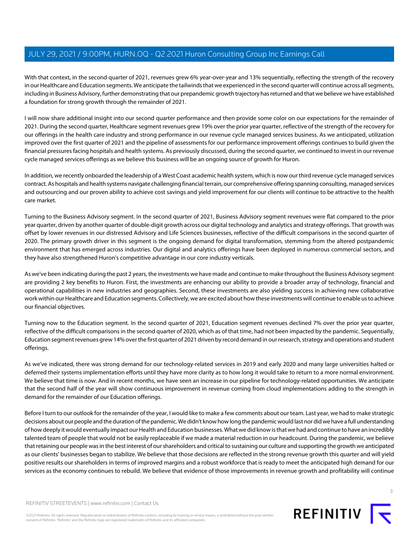With that context, in the second quarter of 2021, revenues grew 6% year-over-year and 13% sequentially, reflecting the strength of the recovery in our Healthcare and Education segments. We anticipate the tailwinds that we experienced in the second quarter will continue across all segments, including in Business Advisory, further demonstrating that our prepandemic growth trajectory has returned and that we believe we have established a foundation for strong growth through the remainder of 2021.

I will now share additional insight into our second quarter performance and then provide some color on our expectations for the remainder of 2021. During the second quarter, Healthcare segment revenues grew 19% over the prior year quarter, reflective of the strength of the recovery for our offerings in the health care industry and strong performance in our revenue cycle managed services business. As we anticipated, utilization improved over the first quarter of 2021 and the pipeline of assessments for our performance improvement offerings continues to build given the financial pressures facing hospitals and health systems. As previously discussed, during the second quarter, we continued to invest in our revenue cycle managed services offerings as we believe this business will be an ongoing source of growth for Huron.

In addition, we recently onboarded the leadership of a West Coast academic health system, which is now our third revenue cycle managed services contract. As hospitals and health systems navigate challenging financial terrain, our comprehensive offering spanning consulting, managed services and outsourcing and our proven ability to achieve cost savings and yield improvement for our clients will continue to be attractive to the health care market.

Turning to the Business Advisory segment. In the second quarter of 2021, Business Advisory segment revenues were flat compared to the prior year quarter, driven by another quarter of double-digit growth across our digital technology and analytics and strategy offerings. That growth was offset by lower revenues in our distressed Advisory and Life Sciences businesses, reflective of the difficult comparisons in the second quarter of 2020. The primary growth driver in this segment is the ongoing demand for digital transformation, stemming from the altered postpandemic environment that has emerged across industries. Our digital and analytics offerings have been deployed in numerous commercial sectors, and they have also strengthened Huron's competitive advantage in our core industry verticals.

As we've been indicating during the past 2 years, the investments we have made and continue to make throughout the Business Advisory segment are providing 2 key benefits to Huron. First, the investments are enhancing our ability to provide a broader array of technology, financial and operational capabilities in new industries and geographies. Second, these investments are also yielding success in achieving new collaborative work within our Healthcare and Education segments. Collectively, we are excited about how these investments will continue to enable us to achieve our financial objectives.

Turning now to the Education segment. In the second quarter of 2021, Education segment revenues declined 7% over the prior year quarter, reflective of the difficult comparisons in the second quarter of 2020, which as of that time, had not been impacted by the pandemic. Sequentially, Education segment revenues grew 14% over the first quarter of 2021 driven by record demand in our research, strategy and operations and student offerings.

As we've indicated, there was strong demand for our technology-related services in 2019 and early 2020 and many large universities halted or deferred their systems implementation efforts until they have more clarity as to how long it would take to return to a more normal environment. We believe that time is now. And in recent months, we have seen an increase in our pipeline for technology-related opportunities. We anticipate that the second half of the year will show continuous improvement in revenue coming from cloud implementations adding to the strength in demand for the remainder of our Education offerings.

Before I turn to our outlook for the remainder of the year, I would like to make a few comments about our team. Last year, we had to make strategic decisions about our people and the duration of the pandemic. We didn't know how long the pandemic would last nor did we have a full understanding of how deeply it would eventually impact our Health and Education businesses. What we did know is that we had and continue to have an incredibly talented team of people that would not be easily replaceable if we made a material reduction in our headcount. During the pandemic, we believe that retaining our people was in the best interest of our shareholders and critical to sustaining our culture and supporting the growth we anticipated as our clients' businesses began to stabilize. We believe that those decisions are reflected in the strong revenue growth this quarter and will yield positive results our shareholders in terms of improved margins and a robust workforce that is ready to meet the anticipated high demand for our services as the economy continues to rebuild. We believe that evidence of those improvements in revenue growth and profitability will continue

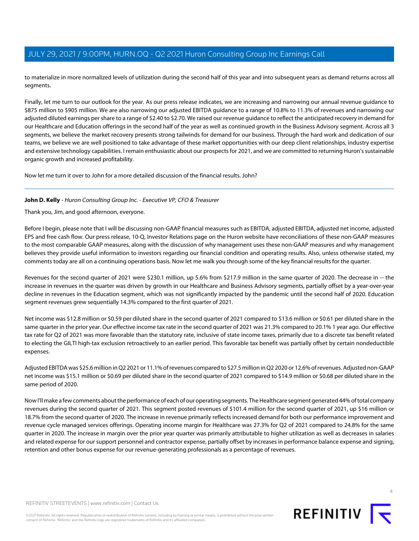to materialize in more normalized levels of utilization during the second half of this year and into subsequent years as demand returns across all segments.

Finally, let me turn to our outlook for the year. As our press release indicates, we are increasing and narrowing our annual revenue guidance to \$875 million to \$905 million. We are also narrowing our adjusted EBITDA guidance to a range of 10.8% to 11.3% of revenues and narrowing our adjusted diluted earnings per share to a range of \$2.40 to \$2.70. We raised our revenue guidance to reflect the anticipated recovery in demand for our Healthcare and Education offerings in the second half of the year as well as continued growth in the Business Advisory segment. Across all 3 segments, we believe the market recovery presents strong tailwinds for demand for our business. Through the hard work and dedication of our teams, we believe we are well positioned to take advantage of these market opportunities with our deep client relationships, industry expertise and extensive technology capabilities. I remain enthusiastic about our prospects for 2021, and we are committed to returning Huron's sustainable organic growth and increased profitability.

<span id="page-3-0"></span>Now let me turn it over to John for a more detailed discussion of the financial results. John?

#### **John D. Kelly** - Huron Consulting Group Inc. - Executive VP, CFO & Treasurer

Thank you, Jim, and good afternoon, everyone.

Before I begin, please note that I will be discussing non-GAAP financial measures such as EBITDA, adjusted EBITDA, adjusted net income, adjusted EPS and free cash flow. Our press release, 10-Q, Investor Relations page on the Huron website have reconciliations of these non-GAAP measures to the most comparable GAAP measures, along with the discussion of why management uses these non-GAAP measures and why management believes they provide useful information to investors regarding our financial condition and operating results. Also, unless otherwise stated, my comments today are all on a continuing operations basis. Now let me walk you through some of the key financial results for the quarter.

Revenues for the second quarter of 2021 were \$230.1 million, up 5.6% from \$217.9 million in the same quarter of 2020. The decrease in -- the increase in revenues in the quarter was driven by growth in our Healthcare and Business Advisory segments, partially offset by a year-over-year decline in revenues in the Education segment, which was not significantly impacted by the pandemic until the second half of 2020. Education segment revenues grew sequentially 14.3% compared to the first quarter of 2021.

Net income was \$12.8 million or \$0.59 per diluted share in the second quarter of 2021 compared to \$13.6 million or \$0.61 per diluted share in the same quarter in the prior year. Our effective income tax rate in the second quarter of 2021 was 21.3% compared to 20.1% 1 year ago. Our effective tax rate for Q2 of 2021 was more favorable than the statutory rate, inclusive of state income taxes, primarily due to a discrete tax benefit related to electing the GILTI high-tax exclusion retroactively to an earlier period. This favorable tax benefit was partially offset by certain nondeductible expenses.

Adjusted EBITDA was \$25.6 million in Q2 2021 or 11.1% of revenues compared to \$27.5 million in Q2 2020 or 12.6% of revenues. Adjusted non-GAAP net income was \$15.1 million or \$0.69 per diluted share in the second quarter of 2021 compared to \$14.9 million or \$0.68 per diluted share in the same period of 2020.

Now I'll make a few comments about the performance of each of our operating segments. The Healthcare segment generated 44% of total company revenues during the second quarter of 2021. This segment posted revenues of \$101.4 million for the second quarter of 2021, up \$16 million or 18.7% from the second quarter of 2020. The increase in revenue primarily reflects increased demand for both our performance improvement and revenue cycle managed services offerings. Operating income margin for Healthcare was 27.3% for Q2 of 2021 compared to 24.8% for the same quarter in 2020. The increase in margin over the prior year quarter was primarily attributable to higher utilization as well as decreases in salaries and related expense for our support personnel and contractor expense, partially offset by increases in performance balance expense and signing, retention and other bonus expense for our revenue-generating professionals as a percentage of revenues.



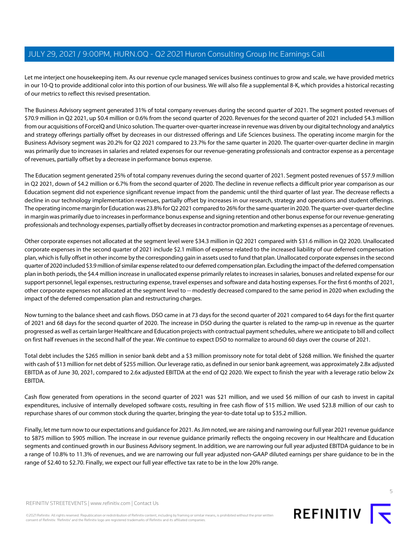Let me interject one housekeeping item. As our revenue cycle managed services business continues to grow and scale, we have provided metrics in our 10-Q to provide additional color into this portion of our business. We will also file a supplemental 8-K, which provides a historical recasting of our metrics to reflect this revised presentation.

The Business Advisory segment generated 31% of total company revenues during the second quarter of 2021. The segment posted revenues of \$70.9 million in Q2 2021, up \$0.4 million or 0.6% from the second quarter of 2020. Revenues for the second quarter of 2021 included \$4.3 million from our acquisitions of ForceIQ and Unico solution. The quarter-over-quarter increase in revenue was driven by our digital technology and analytics and strategy offerings partially offset by decreases in our distressed offerings and Life Sciences business. The operating income margin for the Business Advisory segment was 20.2% for Q2 2021 compared to 23.7% for the same quarter in 2020. The quarter-over-quarter decline in margin was primarily due to increases in salaries and related expenses for our revenue-generating professionals and contractor expense as a percentage of revenues, partially offset by a decrease in performance bonus expense.

The Education segment generated 25% of total company revenues during the second quarter of 2021. Segment posted revenues of \$57.9 million in Q2 2021, down of \$4.2 million or 6.7% from the second quarter of 2020. The decline in revenue reflects a difficult prior year comparison as our Education segment did not experience significant revenue impact from the pandemic until the third quarter of last year. The decrease reflects a decline in our technology implementation revenues, partially offset by increases in our research, strategy and operations and student offerings. The operating income margin for Education was 23.8% for Q2 2021 compared to 26% for the same quarter in 2020. The quarter-over-quarter decline in margin was primarily due to increases in performance bonus expense and signing retention and other bonus expense for our revenue-generating professionals and technology expenses, partially offset by decreases in contractor promotion and marketing expenses as a percentage of revenues.

Other corporate expenses not allocated at the segment level were \$34.3 million in Q2 2021 compared with \$31.6 million in Q2 2020. Unallocated corporate expenses in the second quarter of 2021 include \$2.1 million of expense related to the increased liability of our deferred compensation plan, which is fully offset in other income by the corresponding gain in assets used to fund that plan. Unallocated corporate expenses in the second quarter of 2020 included \$3.9 million of similar expense related to our deferred compensation plan. Excluding the impact of the deferred compensation plan in both periods, the \$4.4 million increase in unallocated expense primarily relates to increases in salaries, bonuses and related expense for our support personnel, legal expenses, restructuring expense, travel expenses and software and data hosting expenses. For the first 6 months of 2021, other corporate expenses not allocated at the segment level to -- modestly decreased compared to the same period in 2020 when excluding the impact of the deferred compensation plan and restructuring charges.

Now turning to the balance sheet and cash flows. DSO came in at 73 days for the second quarter of 2021 compared to 64 days for the first quarter of 2021 and 68 days for the second quarter of 2020. The increase in DSO during the quarter is related to the ramp-up in revenue as the quarter progressed as well as certain larger Healthcare and Education projects with contractual payment schedules, where we anticipate to bill and collect on first half revenues in the second half of the year. We continue to expect DSO to normalize to around 60 days over the course of 2021.

Total debt includes the \$265 million in senior bank debt and a \$3 million promissory note for total debt of \$268 million. We finished the quarter with cash of \$13 million for net debt of \$255 million. Our leverage ratio, as defined in our senior bank agreement, was approximately 2.8x adjusted EBITDA as of June 30, 2021, compared to 2.6x adjusted EBITDA at the end of Q2 2020. We expect to finish the year with a leverage ratio below 2x EBITDA.

Cash flow generated from operations in the second quarter of 2021 was \$21 million, and we used \$6 million of our cash to invest in capital expenditures, inclusive of internally developed software costs, resulting in free cash flow of \$15 million. We used \$23.8 million of our cash to repurchase shares of our common stock during the quarter, bringing the year-to-date total up to \$35.2 million.

Finally, let me turn now to our expectations and guidance for 2021. As Jim noted, we are raising and narrowing our full year 2021 revenue guidance to \$875 million to \$905 million. The increase in our revenue guidance primarily reflects the ongoing recovery in our Healthcare and Education segments and continued growth in our Business Advisory segment. In addition, we are narrowing our full year adjusted EBITDA guidance to be in a range of 10.8% to 11.3% of revenues, and we are narrowing our full year adjusted non-GAAP diluted earnings per share guidance to be in the range of \$2.40 to \$2.70. Finally, we expect our full year effective tax rate to be in the low 20% range.



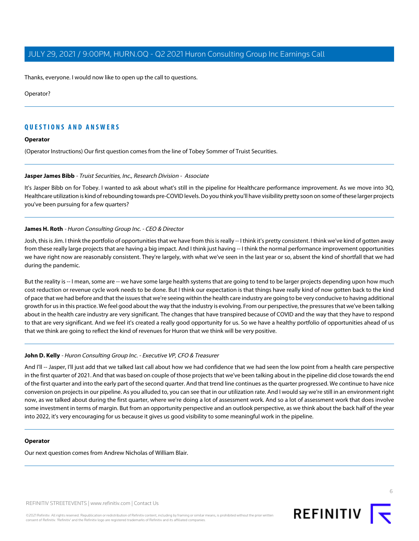Thanks, everyone. I would now like to open up the call to questions.

#### Operator?

#### **QUESTIONS AND ANSWERS**

#### **Operator**

<span id="page-5-0"></span>(Operator Instructions) Our first question comes from the line of Tobey Sommer of Truist Securities.

#### **Jasper James Bibb** - Truist Securities, Inc., Research Division - Associate

It's Jasper Bibb on for Tobey. I wanted to ask about what's still in the pipeline for Healthcare performance improvement. As we move into 3Q, Healthcare utilization is kind of rebounding towards pre-COVID levels. Do you think you'll have visibility pretty soon on some of these larger projects you've been pursuing for a few quarters?

#### **James H. Roth** - Huron Consulting Group Inc. - CEO & Director

Josh, this is Jim. I think the portfolio of opportunities that we have from this is really -- I think it's pretty consistent. I think we've kind of gotten away from these really large projects that are having a big impact. And I think just having -- I think the normal performance improvement opportunities we have right now are reasonably consistent. They're largely, with what we've seen in the last year or so, absent the kind of shortfall that we had during the pandemic.

But the reality is -- I mean, some are -- we have some large health systems that are going to tend to be larger projects depending upon how much cost reduction or revenue cycle work needs to be done. But I think our expectation is that things have really kind of now gotten back to the kind of pace that we had before and that the issues that we're seeing within the health care industry are going to be very conducive to having additional growth for us in this practice. We feel good about the way that the industry is evolving. From our perspective, the pressures that we've been talking about in the health care industry are very significant. The changes that have transpired because of COVID and the way that they have to respond to that are very significant. And we feel it's created a really good opportunity for us. So we have a healthy portfolio of opportunities ahead of us that we think are going to reflect the kind of revenues for Huron that we think will be very positive.

#### **John D. Kelly** - Huron Consulting Group Inc. - Executive VP, CFO & Treasurer

And I'll -- Jasper, I'll just add that we talked last call about how we had confidence that we had seen the low point from a health care perspective in the first quarter of 2021. And that was based on couple of those projects that we've been talking about in the pipeline did close towards the end of the first quarter and into the early part of the second quarter. And that trend line continues as the quarter progressed. We continue to have nice conversion on projects in our pipeline. As you alluded to, you can see that in our utilization rate. And I would say we're still in an environment right now, as we talked about during the first quarter, where we're doing a lot of assessment work. And so a lot of assessment work that does involve some investment in terms of margin. But from an opportunity perspective and an outlook perspective, as we think about the back half of the year into 2022, it's very encouraging for us because it gives us good visibility to some meaningful work in the pipeline.

#### **Operator**

Our next question comes from Andrew Nicholas of William Blair.

REFINITIV STREETEVENTS | [www.refinitiv.com](https://www.refinitiv.com/) | [Contact Us](https://www.refinitiv.com/en/contact-us)

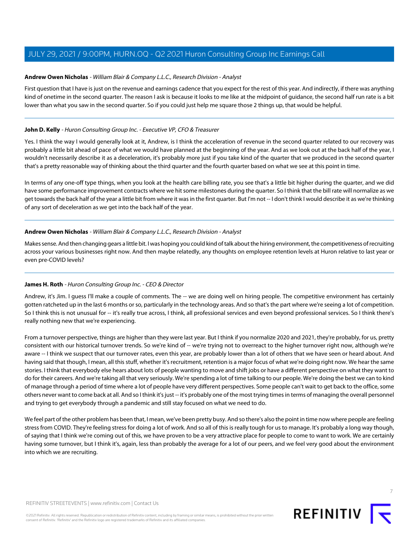#### <span id="page-6-0"></span>**Andrew Owen Nicholas** - William Blair & Company L.L.C., Research Division - Analyst

First question that I have is just on the revenue and earnings cadence that you expect for the rest of this year. And indirectly, if there was anything kind of onetime in the second quarter. The reason I ask is because it looks to me like at the midpoint of guidance, the second half run rate is a bit lower than what you saw in the second quarter. So if you could just help me square those 2 things up, that would be helpful.

#### **John D. Kelly** - Huron Consulting Group Inc. - Executive VP, CFO & Treasurer

Yes. I think the way I would generally look at it, Andrew, is I think the acceleration of revenue in the second quarter related to our recovery was probably a little bit ahead of pace of what we would have planned at the beginning of the year. And as we look out at the back half of the year, I wouldn't necessarily describe it as a deceleration, it's probably more just if you take kind of the quarter that we produced in the second quarter that's a pretty reasonable way of thinking about the third quarter and the fourth quarter based on what we see at this point in time.

In terms of any one-off type things, when you look at the health care billing rate, you see that's a little bit higher during the quarter, and we did have some performance improvement contracts where we hit some milestones during the quarter. So I think that the bill rate will normalize as we get towards the back half of the year a little bit from where it was in the first quarter. But I'm not -- I don't think I would describe it as we're thinking of any sort of deceleration as we get into the back half of the year.

#### **Andrew Owen Nicholas** - William Blair & Company L.L.C., Research Division - Analyst

Makes sense. And then changing gears a little bit. I was hoping you could kind of talk about the hiring environment, the competitiveness of recruiting across your various businesses right now. And then maybe relatedly, any thoughts on employee retention levels at Huron relative to last year or even pre-COVID levels?

#### **James H. Roth** - Huron Consulting Group Inc. - CEO & Director

Andrew, it's Jim. I guess I'll make a couple of comments. The -- we are doing well on hiring people. The competitive environment has certainly gotten ratcheted up in the last 6 months or so, particularly in the technology areas. And so that's the part where we're seeing a lot of competition. So I think this is not unusual for -- it's really true across, I think, all professional services and even beyond professional services. So I think there's really nothing new that we're experiencing.

From a turnover perspective, things are higher than they were last year. But I think if you normalize 2020 and 2021, they're probably, for us, pretty consistent with our historical turnover trends. So we're kind of -- we're trying not to overreact to the higher turnover right now, although we're aware -- I think we suspect that our turnover rates, even this year, are probably lower than a lot of others that we have seen or heard about. And having said that though, I mean, all this stuff, whether it's recruitment, retention is a major focus of what we're doing right now. We hear the same stories. I think that everybody else hears about lots of people wanting to move and shift jobs or have a different perspective on what they want to do for their careers. And we're taking all that very seriously. We're spending a lot of time talking to our people. We're doing the best we can to kind of manage through a period of time where a lot of people have very different perspectives. Some people can't wait to get back to the office, some others never want to come back at all. And so I think it's just -- it's probably one of the most trying times in terms of managing the overall personnel and trying to get everybody through a pandemic and still stay focused on what we need to do.

We feel part of the other problem has been that, I mean, we've been pretty busy. And so there's also the point in time now where people are feeling stress from COVID. They're feeling stress for doing a lot of work. And so all of this is really tough for us to manage. It's probably a long way though, of saying that I think we're coming out of this, we have proven to be a very attractive place for people to come to want to work. We are certainly having some turnover, but I think it's, again, less than probably the average for a lot of our peers, and we feel very good about the environment into which we are recruiting.



**REFINITIV**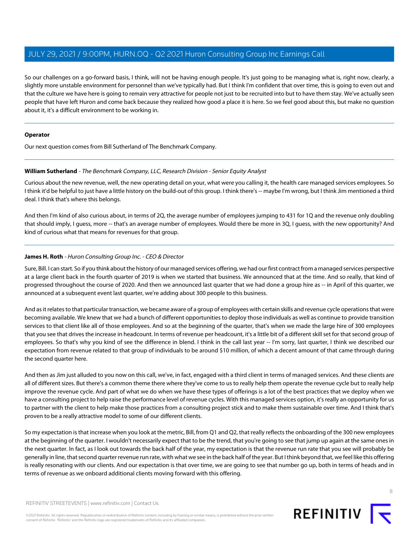So our challenges on a go-forward basis, I think, will not be having enough people. It's just going to be managing what is, right now, clearly, a slightly more unstable environment for personnel than we've typically had. But I think I'm confident that over time, this is going to even out and that the culture we have here is going to remain very attractive for people not just to be recruited into but to have them stay. We've actually seen people that have left Huron and come back because they realized how good a place it is here. So we feel good about this, but make no question about it, it's a difficult environment to be working in.

#### **Operator**

<span id="page-7-0"></span>Our next question comes from Bill Sutherland of The Benchmark Company.

#### **William Sutherland** - The Benchmark Company, LLC, Research Division - Senior Equity Analyst

Curious about the new revenue, well, the new operating detail on your, what were you calling it, the health care managed services employees. So I think it'd be helpful to just have a little history on the build-out of this group. I think there's -- maybe I'm wrong, but I think Jim mentioned a third deal. I think that's where this belongs.

And then I'm kind of also curious about, in terms of 2Q, the average number of employees jumping to 431 for 1Q and the revenue only doubling that should imply, I guess, more -- that's an average number of employees. Would there be more in 3Q, I guess, with the new opportunity? And kind of curious what that means for revenues for that group.

#### **James H. Roth** - Huron Consulting Group Inc. - CEO & Director

Sure, Bill. I can start. So if you think about the history of our managed services offering, we had our first contract from a managed services perspective at a large client back in the fourth quarter of 2019 is when we started that business. We announced that at the time. And so really, that kind of progressed throughout the course of 2020. And then we announced last quarter that we had done a group hire as -- in April of this quarter, we announced at a subsequent event last quarter, we're adding about 300 people to this business.

And as it relates to that particular transaction, we became aware of a group of employees with certain skills and revenue cycle operations that were becoming available. We knew that we had a bunch of different opportunities to deploy those individuals as well as continue to provide transition services to that client like all of those employees. And so at the beginning of the quarter, that's when we made the large hire of 300 employees that you see that drives the increase in headcount. In terms of revenue per headcount, it's a little bit of a different skill set for that second group of employees. So that's why you kind of see the difference in blend. I think in the call last year -- I'm sorry, last quarter, I think we described our expectation from revenue related to that group of individuals to be around \$10 million, of which a decent amount of that came through during the second quarter here.

And then as Jim just alluded to you now on this call, we've, in fact, engaged with a third client in terms of managed services. And these clients are all of different sizes. But there's a common theme there where they've come to us to really help them operate the revenue cycle but to really help improve the revenue cycle. And part of what we do when we have these types of offerings is a lot of the best practices that we deploy when we have a consulting project to help raise the performance level of revenue cycles. With this managed services option, it's really an opportunity for us to partner with the client to help make those practices from a consulting project stick and to make them sustainable over time. And I think that's proven to be a really attractive model to some of our different clients.

So my expectation is that increase when you look at the metric, Bill, from Q1 and Q2, that really reflects the onboarding of the 300 new employees at the beginning of the quarter. I wouldn't necessarily expect that to be the trend, that you're going to see that jump up again at the same ones in the next quarter. In fact, as I look out towards the back half of the year, my expectation is that the revenue run rate that you see will probably be generally in line, that second quarter revenue run rate, with what we see in the back half of the year. But I think beyond that, we feel like this offering is really resonating with our clients. And our expectation is that over time, we are going to see that number go up, both in terms of heads and in terms of revenue as we onboard additional clients moving forward with this offering.

©2021 Refinitiv. All rights reserved. Republication or redistribution of Refinitiv content, including by framing or similar means, is prohibited without the prior written consent of Refinitiv. 'Refinitiv' and the Refinitiv logo are registered trademarks of Refinitiv and its affiliated companies.

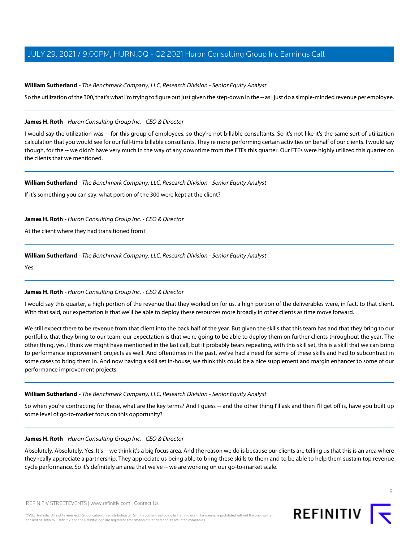#### **William Sutherland** - The Benchmark Company, LLC, Research Division - Senior Equity Analyst

So the utilization of the 300, that's what I'm trying to figure out just given the step-down in the -- as I just do a simple-minded revenue per employee.

#### **James H. Roth** - Huron Consulting Group Inc. - CEO & Director

I would say the utilization was -- for this group of employees, so they're not billable consultants. So it's not like it's the same sort of utilization calculation that you would see for our full-time billable consultants. They're more performing certain activities on behalf of our clients. I would say though, for the -- we didn't have very much in the way of any downtime from the FTEs this quarter. Our FTEs were highly utilized this quarter on the clients that we mentioned.

#### **William Sutherland** - The Benchmark Company, LLC, Research Division - Senior Equity Analyst

If it's something you can say, what portion of the 300 were kept at the client?

#### **James H. Roth** - Huron Consulting Group Inc. - CEO & Director

At the client where they had transitioned from?

#### **William Sutherland** - The Benchmark Company, LLC, Research Division - Senior Equity Analyst

Yes.

#### **James H. Roth** - Huron Consulting Group Inc. - CEO & Director

I would say this quarter, a high portion of the revenue that they worked on for us, a high portion of the deliverables were, in fact, to that client. With that said, our expectation is that we'll be able to deploy these resources more broadly in other clients as time move forward.

We still expect there to be revenue from that client into the back half of the year. But given the skills that this team has and that they bring to our portfolio, that they bring to our team, our expectation is that we're going to be able to deploy them on further clients throughout the year. The other thing, yes, I think we might have mentioned in the last call, but it probably bears repeating, with this skill set, this is a skill that we can bring to performance improvement projects as well. And oftentimes in the past, we've had a need for some of these skills and had to subcontract in some cases to bring them in. And now having a skill set in-house, we think this could be a nice supplement and margin enhancer to some of our performance improvement projects.

#### **William Sutherland** - The Benchmark Company, LLC, Research Division - Senior Equity Analyst

So when you're contracting for these, what are the key terms? And I guess -- and the other thing I'll ask and then I'll get off is, have you built up some level of go-to-market focus on this opportunity?

#### **James H. Roth** - Huron Consulting Group Inc. - CEO & Director

Absolutely. Absolutely. Yes. It's -- we think it's a big focus area. And the reason we do is because our clients are telling us that this is an area where they really appreciate a partnership. They appreciate us being able to bring these skills to them and to be able to help them sustain top revenue cycle performance. So it's definitely an area that we've -- we are working on our go-to-market scale.

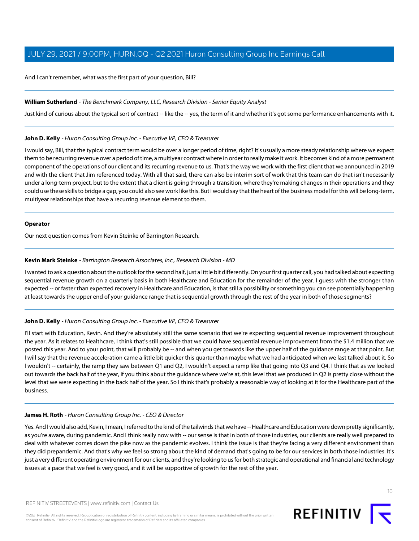And I can't remember, what was the first part of your question, Bill?

#### **William Sutherland** - The Benchmark Company, LLC, Research Division - Senior Equity Analyst

Just kind of curious about the typical sort of contract -- like the -- yes, the term of it and whether it's got some performance enhancements with it.

#### **John D. Kelly** - Huron Consulting Group Inc. - Executive VP, CFO & Treasurer

I would say, Bill, that the typical contract term would be over a longer period of time, right? It's usually a more steady relationship where we expect them to be recurring revenue over a period of time, a multiyear contract where in order to really make it work. It becomes kind of a more permanent component of the operations of our client and its recurring revenue to us. That's the way we work with the first client that we announced in 2019 and with the client that Jim referenced today. With all that said, there can also be interim sort of work that this team can do that isn't necessarily under a long-term project, but to the extent that a client is going through a transition, where they're making changes in their operations and they could use these skills to bridge a gap, you could also see work like this. But I would say that the heart of the business model for this will be long-term, multiyear relationships that have a recurring revenue element to them.

#### **Operator**

<span id="page-9-0"></span>Our next question comes from Kevin Steinke of Barrington Research.

#### **Kevin Mark Steinke** - Barrington Research Associates, Inc., Research Division - MD

I wanted to ask a question about the outlook for the second half, just a little bit differently. On your first quarter call, you had talked about expecting sequential revenue growth on a quarterly basis in both Healthcare and Education for the remainder of the year. I guess with the stronger than expected -- or faster than expected recovery in Healthcare and Education, is that still a possibility or something you can see potentially happening at least towards the upper end of your guidance range that is sequential growth through the rest of the year in both of those segments?

#### **John D. Kelly** - Huron Consulting Group Inc. - Executive VP, CFO & Treasurer

I'll start with Education, Kevin. And they're absolutely still the same scenario that we're expecting sequential revenue improvement throughout the year. As it relates to Healthcare, I think that's still possible that we could have sequential revenue improvement from the \$1.4 million that we posted this year. And to your point, that will probably be -- and when you get towards like the upper half of the guidance range at that point. But I will say that the revenue acceleration came a little bit quicker this quarter than maybe what we had anticipated when we last talked about it. So I wouldn't -- certainly, the ramp they saw between Q1 and Q2, I wouldn't expect a ramp like that going into Q3 and Q4. I think that as we looked out towards the back half of the year, if you think about the guidance where we're at, this level that we produced in Q2 is pretty close without the level that we were expecting in the back half of the year. So I think that's probably a reasonable way of looking at it for the Healthcare part of the business.

#### **James H. Roth** - Huron Consulting Group Inc. - CEO & Director

Yes. And I would also add, Kevin, I mean, I referred to the kind of the tailwinds that we have -- Healthcare and Education were down pretty significantly, as you're aware, during pandemic. And I think really now with -- our sense is that in both of those industries, our clients are really well prepared to deal with whatever comes down the pike now as the pandemic evolves. I think the issue is that they're facing a very different environment than they did prepandemic. And that's why we feel so strong about the kind of demand that's going to be for our services in both those industries. It's just a very different operating environment for our clients, and they're looking to us for both strategic and operational and financial and technology issues at a pace that we feel is very good, and it will be supportive of growth for the rest of the year.

©2021 Refinitiv. All rights reserved. Republication or redistribution of Refinitiv content, including by framing or similar means, is prohibited without the prior written consent of Refinitiv. 'Refinitiv' and the Refinitiv logo are registered trademarks of Refinitiv and its affiliated companies.

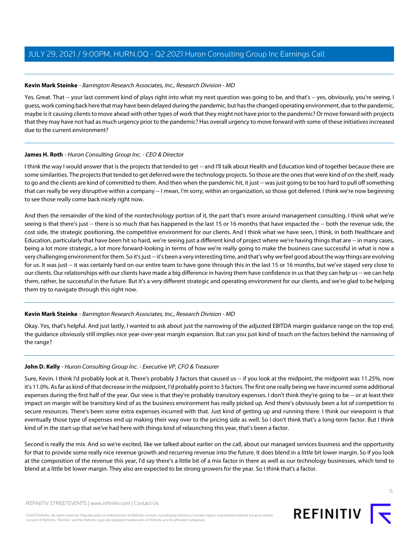#### **Kevin Mark Steinke** - Barrington Research Associates, Inc., Research Division - MD

Yes. Great. That -- your last comment kind of plays right into what my next question was going to be, and that's -- yes, obviously, you're seeing, I guess, work coming back here that may have been delayed during the pandemic, but has the changed operating environment, due to the pandemic, maybe is it causing clients to move ahead with other types of work that they might not have prior to the pandemic? Or move forward with projects that they may have not had as much urgency prior to the pandemic? Has overall urgency to move forward with some of these initiatives increased due to the current environment?

#### **James H. Roth** - Huron Consulting Group Inc. - CEO & Director

I think the way I would answer that is the projects that tended to get -- and I'll talk about Health and Education kind of together because there are some similarities. The projects that tended to get deferred were the technology projects. So those are the ones that were kind of on the shelf, ready to go and the clients are kind of committed to them. And then when the pandemic hit, it just -- was just going to be too hard to pull off something that can really be very disruptive within a company -- I mean, I'm sorry, within an organization, so those got deferred. I think we're now beginning to see those really come back nicely right now.

And then the remainder of the kind of the nontechnology portion of it, the part that's more around management consulting. I think what we're seeing is that there's just -- there is so much that has happened in the last 15 or 16 months that have impacted the -- both the revenue side, the cost side, the strategic positioning, the competitive environment for our clients. And I think what we have seen, I think, in both Healthcare and Education, particularly that have been hit so hard, we're seeing just a different kind of project where we're having things that are -- in many cases, being a lot more strategic, a lot more forward-looking in terms of how we're really going to make the business case successful in what is now a very challenging environment for them. So it's just -- it's been a very interesting time, and that's why we feel good about the way things are evolving for us. It was just -- it was certainly hard on our entire team to have gone through this in the last 15 or 16 months, but we've stayed very close to our clients. Our relationships with our clients have made a big difference in having them have confidence in us that they can help us -- we can help them, rather, be successful in the future. But it's a very different strategic and operating environment for our clients, and we're glad to be helping them try to navigate through this right now.

#### **Kevin Mark Steinke** - Barrington Research Associates, Inc., Research Division - MD

Okay. Yes, that's helpful. And just lastly, I wanted to ask about just the narrowing of the adjusted EBITDA margin guidance range on the top end, the guidance obviously still implies nice year-over-year margin expansion. But can you just kind of touch on the factors behind the narrowing of the range?

#### **John D. Kelly** - Huron Consulting Group Inc. - Executive VP, CFO & Treasurer

Sure, Kevin. I think I'd probably look at it. There's probably 3 factors that caused us -- if you look at the midpoint, the midpoint was 11.25%, now it's 11.0%. As far as kind of that decrease in the midpoint, I'd probably point to 3 factors. The first one really being we have incurred some additional expenses during the first half of the year. Our view is that they're probably transitory expenses. I don't think they're going to be -- or at least their impact on margin will be transitory kind of as the business environment has really picked up. And there's obviously been a lot of competition to secure resources. There's been some extra expenses incurred with that. Just kind of getting up and running there. I think our viewpoint is that eventually those type of expenses end up making their way over to the pricing side as well. So I don't think that's a long-term factor. But I think kind of in the start-up that we've had here with things kind of relaunching this year, that's been a factor.

Second is really the mix. And so we're excited, like we talked about earlier on the call, about our managed services business and the opportunity for that to provide some really nice revenue growth and recurring revenue into the future. It does blend in a little bit lower margin. So if you look at the composition of the revenue this year, I'd say there's a little bit of a mix factor in there as well as our technology businesses, which tend to blend at a little bit lower margin. They also are expected to be strong growers for the year. So I think that's a factor.

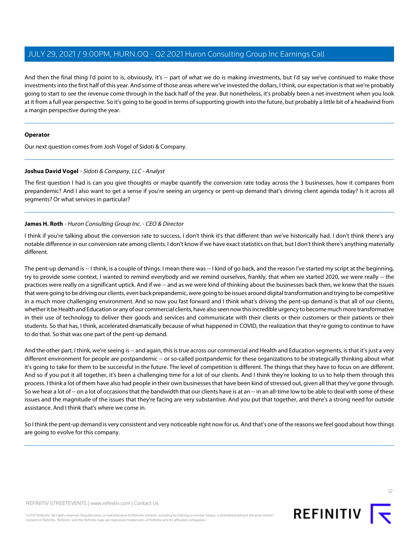And then the final thing I'd point to is, obviously, it's -- part of what we do is making investments, but I'd say we've continued to make those investments into the first half of this year. And some of those areas where we've invested the dollars, I think, our expectation is that we're probably going to start to see the revenue come through in the back half of the year. But nonetheless, it's probably been a net investment when you look at it from a full year perspective. So it's going to be good in terms of supporting growth into the future, but probably a little bit of a headwind from a margin perspective during the year.

#### **Operator**

<span id="page-11-0"></span>Our next question comes from Josh Vogel of Sidoti & Company.

#### **Joshua David Vogel** - Sidoti & Company, LLC - Analyst

The first question I had is can you give thoughts or maybe quantify the conversion rate today across the 3 businesses, how it compares from prepandemic? And I also want to get a sense if you're seeing an urgency or pent-up demand that's driving client agenda today? Is it across all segments? Or what services in particular?

#### **James H. Roth** - Huron Consulting Group Inc. - CEO & Director

I think if you're talking about the conversion rate to success, I don't think it's that different than we've historically had. I don't think there's any notable difference in our conversion rate among clients. I don't know if we have exact statistics on that, but I don't think there's anything materially different.

The pent-up demand is -- I think, is a couple of things. I mean there was -- I kind of go back, and the reason I've started my script at the beginning, try to provide some context, I wanted to remind everybody and we remind ourselves, frankly, that when we started 2020, we were really -- the practices were really on a significant uptick. And if we -- and as we were kind of thinking about the businesses back then, we knew that the issues that were going to be driving our clients, even back prepandemic, were going to be issues around digital transformation and trying to be competitive in a much more challenging environment. And so now you fast forward and I think what's driving the pent-up demand is that all of our clients, whether it be Health and Education or any of our commercial clients, have also seen now this incredible urgency to become much more transformative in their use of technology to deliver their goods and services and communicate with their clients or their customers or their patients or their students. So that has, I think, accelerated dramatically because of what happened in COVID, the realization that they're going to continue to have to do that. So that was one part of the pent-up demand.

And the other part, I think, we're seeing is -- and again, this is true across our commercial and Health and Education segments, is that it's just a very different environment for people are postpandemic -- or so-called postpandemic for these organizations to be strategically thinking about what it's going to take for them to be successful in the future. The level of competition is different. The things that they have to focus on are different. And so if you put it all together, it's been a challenging time for a lot of our clients. And I think they're looking to us to help them through this process. I think a lot of them have also had people in their own businesses that have been kind of stressed out, given all that they've gone through. So we hear a lot of -- on a lot of occasions that the bandwidth that our clients have is at an -- in an all-time low to be able to deal with some of these issues and the magnitude of the issues that they're facing are very substantive. And you put that together, and there's a strong need for outside assistance. And I think that's where we come in.

So I think the pent-up demand is very consistent and very noticeable right now for us. And that's one of the reasons we feel good about how things are going to evolve for this company.

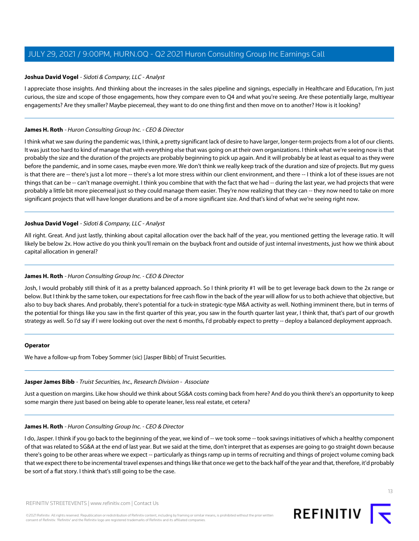#### **Joshua David Vogel** - Sidoti & Company, LLC - Analyst

I appreciate those insights. And thinking about the increases in the sales pipeline and signings, especially in Healthcare and Education, I'm just curious, the size and scope of those engagements, how they compare even to Q4 and what you're seeing. Are these potentially large, multiyear engagements? Are they smaller? Maybe piecemeal, they want to do one thing first and then move on to another? How is it looking?

#### **James H. Roth** - Huron Consulting Group Inc. - CEO & Director

I think what we saw during the pandemic was, I think, a pretty significant lack of desire to have larger, longer-term projects from a lot of our clients. It was just too hard to kind of manage that with everything else that was going on at their own organizations. I think what we're seeing now is that probably the size and the duration of the projects are probably beginning to pick up again. And it will probably be at least as equal to as they were before the pandemic, and in some cases, maybe even more. We don't think we really keep track of the duration and size of projects. But my guess is that there are -- there's just a lot more -- there's a lot more stress within our client environment, and there -- I think a lot of these issues are not things that can be -- can't manage overnight. I think you combine that with the fact that we had -- during the last year, we had projects that were probably a little bit more piecemeal just so they could manage them easier. They're now realizing that they can -- they now need to take on more significant projects that will have longer durations and be of a more significant size. And that's kind of what we're seeing right now.

#### **Joshua David Vogel** - Sidoti & Company, LLC - Analyst

All right. Great. And just lastly, thinking about capital allocation over the back half of the year, you mentioned getting the leverage ratio. It will likely be below 2x. How active do you think you'll remain on the buyback front and outside of just internal investments, just how we think about capital allocation in general?

#### **James H. Roth** - Huron Consulting Group Inc. - CEO & Director

Josh, I would probably still think of it as a pretty balanced approach. So I think priority #1 will be to get leverage back down to the 2x range or below. But I think by the same token, our expectations for free cash flow in the back of the year will allow for us to both achieve that objective, but also to buy back shares. And probably, there's potential for a tuck-in strategic-type M&A activity as well. Nothing imminent there, but in terms of the potential for things like you saw in the first quarter of this year, you saw in the fourth quarter last year, I think that, that's part of our growth strategy as well. So I'd say if I were looking out over the next 6 months, I'd probably expect to pretty -- deploy a balanced deployment approach.

#### **Operator**

We have a follow-up from Tobey Sommer (sic) [Jasper Bibb] of Truist Securities.

### **Jasper James Bibb** - Truist Securities, Inc., Research Division - Associate

Just a question on margins. Like how should we think about SG&A costs coming back from here? And do you think there's an opportunity to keep some margin there just based on being able to operate leaner, less real estate, et cetera?

### **James H. Roth** - Huron Consulting Group Inc. - CEO & Director

I do, Jasper. I think if you go back to the beginning of the year, we kind of -- we took some -- took savings initiatives of which a healthy component of that was related to SG&A at the end of last year. But we said at the time, don't interpret that as expenses are going to go straight down because there's going to be other areas where we expect -- particularly as things ramp up in terms of recruiting and things of project volume coming back that we expect there to be incremental travel expenses and things like that once we get to the back half of the year and that, therefore, it'd probably be sort of a flat story. I think that's still going to be the case.

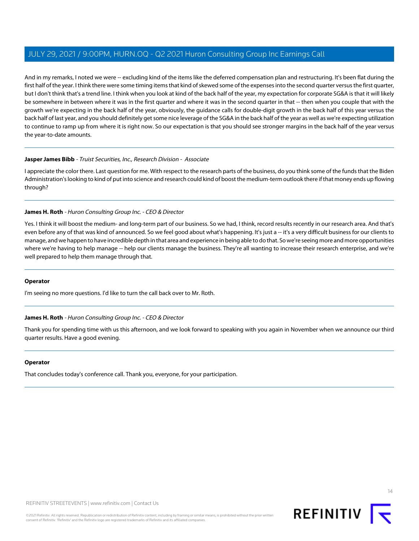And in my remarks, I noted we were -- excluding kind of the items like the deferred compensation plan and restructuring. It's been flat during the first half of the year. I think there were some timing items that kind of skewed some of the expenses into the second quarter versus the first quarter, but I don't think that's a trend line. I think when you look at kind of the back half of the year, my expectation for corporate SG&A is that it will likely be somewhere in between where it was in the first quarter and where it was in the second quarter in that -- then when you couple that with the growth we're expecting in the back half of the year, obviously, the guidance calls for double-digit growth in the back half of this year versus the back half of last year, and you should definitely get some nice leverage of the SG&A in the back half of the year as well as we're expecting utilization to continue to ramp up from where it is right now. So our expectation is that you should see stronger margins in the back half of the year versus the year-to-date amounts.

#### **Jasper James Bibb** - Truist Securities, Inc., Research Division - Associate

I appreciate the color there. Last question for me. With respect to the research parts of the business, do you think some of the funds that the Biden Administration's looking to kind of put into science and research could kind of boost the medium-term outlook there if that money ends up flowing through?

#### **James H. Roth** - Huron Consulting Group Inc. - CEO & Director

Yes. I think it will boost the medium- and long-term part of our business. So we had, I think, record results recently in our research area. And that's even before any of that was kind of announced. So we feel good about what's happening. It's just a -- it's a very difficult business for our clients to manage, and we happen to have incredible depth in that area and experience in being able to do that. So we're seeing more and more opportunities where we're having to help manage -- help our clients manage the business. They're all wanting to increase their research enterprise, and we're well prepared to help them manage through that.

#### **Operator**

I'm seeing no more questions. I'd like to turn the call back over to Mr. Roth.

#### **James H. Roth** - Huron Consulting Group Inc. - CEO & Director

Thank you for spending time with us this afternoon, and we look forward to speaking with you again in November when we announce our third quarter results. Have a good evening.

#### **Operator**

That concludes today's conference call. Thank you, everyone, for your participation.

 $14$